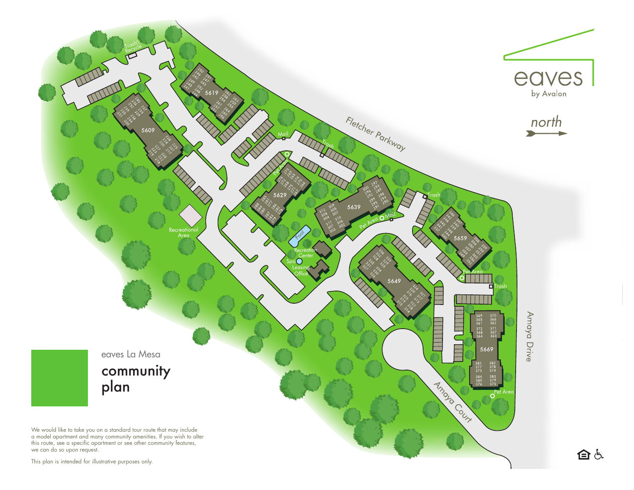

This plan is intended for illustrative purposes only.